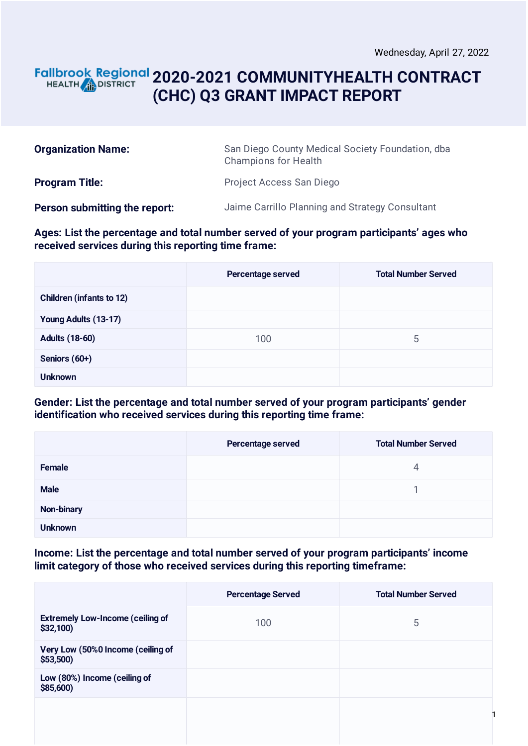#### **2020-2021 COMMUNITYHEALTH CONTRACT** HEALTH **AND DISTRICT (CHC) Q3 GRANT IMPACT REPORT**

| <b>Organization Name:</b>     | San Diego County Medical Society Foundation, dba<br><b>Champions for Health</b> |  |
|-------------------------------|---------------------------------------------------------------------------------|--|
| <b>Program Title:</b>         | Project Access San Diego                                                        |  |
| Person submitting the report: | Jaime Carrillo Planning and Strategy Consultant                                 |  |

**Ages: List the percentage and total number served of your program participants' ages who received services during this reporting time frame:**

|                                 | Percentage served | <b>Total Number Served</b> |
|---------------------------------|-------------------|----------------------------|
| <b>Children (infants to 12)</b> |                   |                            |
| Young Adults (13-17)            |                   |                            |
| <b>Adults (18-60)</b>           | 100               | 5                          |
| Seniors (60+)                   |                   |                            |
| <b>Unknown</b>                  |                   |                            |

**Gender: List the percentage and total number served of your program participants' gender identification who received services during this reporting time frame:**

|                | Percentage served | <b>Total Number Served</b> |
|----------------|-------------------|----------------------------|
| Female         |                   | 4                          |
| <b>Male</b>    |                   |                            |
| Non-binary     |                   |                            |
| <b>Unknown</b> |                   |                            |

**Income: List the percentage and total number served of your program participants' income limit category of those who received services during this reporting timeframe:**

|                                                     | <b>Percentage Served</b> | <b>Total Number Served</b> |
|-----------------------------------------------------|--------------------------|----------------------------|
| <b>Extremely Low-Income (ceiling of</b><br>\$32,100 | 100                      | 5                          |
| Very Low (50%0 Income (ceiling of<br>\$53,500       |                          |                            |
| Low (80%) Income (ceiling of<br>\$85,600)           |                          |                            |
|                                                     |                          |                            |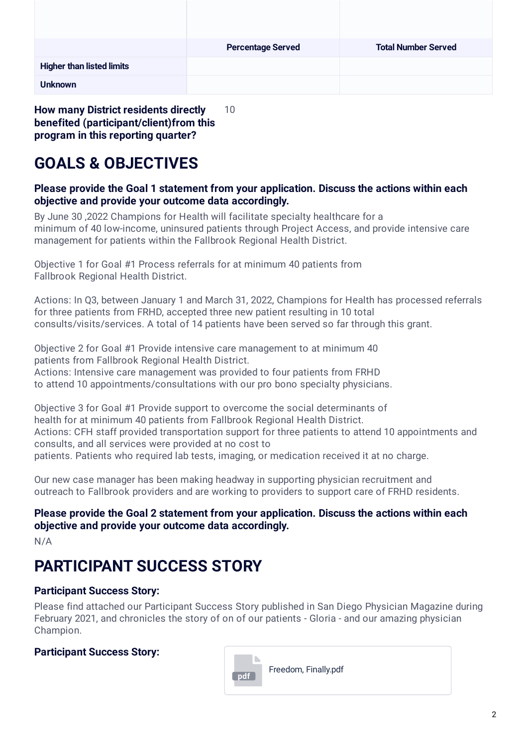|                                  | <b>Percentage Served</b> | <b>Total Number Served</b> |
|----------------------------------|--------------------------|----------------------------|
| <b>Higher than listed limits</b> |                          |                            |
| <b>Unknown</b>                   |                          |                            |

**benefited (participant/client)from this program in this reporting quarter?**

# **GOALS & OBJECTIVES**

#### **Please provide the Goal 1 statement from your application. Discuss the actions within each objective and provide your outcome data accordingly.**

By June 30 ,2022 Champions for Health will facilitate specialty healthcare for a minimum of 40 low-income, uninsured patients through Project Access, and provide intensive care management for patients within the Fallbrook Regional Health District.

Objective 1 for Goal #1 Process referrals for at minimum 40 patients from Fallbrook Regional Health District.

Actions: In Q3, between January 1 and March 31, 2022, Champions for Health has processed referrals for three patients from FRHD, accepted three new patient resulting in 10 total consults/visits/services. A total of 14 patients have been served so far through this grant.

Objective 2 for Goal #1 Provide intensive care management to at minimum 40 patients from Fallbrook Regional Health District. Actions: Intensive care management was provided to four patients from FRHD to attend 10 appointments/consultations with our pro bono specialty physicians.

Objective 3 for Goal #1 Provide support to overcome the social determinants of health for at minimum 40 patients from Fallbrook Regional Health District. Actions: CFH staff provided transportation support for three patients to attend 10 appointments and consults, and all services were provided at no cost to patients. Patients who required lab tests, imaging, or medication received it at no charge.

Our new case manager has been making headway in supporting physician recruitment and outreach to Fallbrook providers and are working to providers to support care of FRHD residents.

### **Please provide the Goal 2 statement from your application. Discuss the actions within each objective and provide your outcome data accordingly.**

N/A

# **PARTICIPANT SUCCESS STORY**

### **Participant Success Story:**

Please find attached our Participant Success Story published in San Diego Physician Magazine during February 2021, and chronicles the story of on of our patients - Gloria - and our amazing physician Champion.

### **Participant Success Story:**